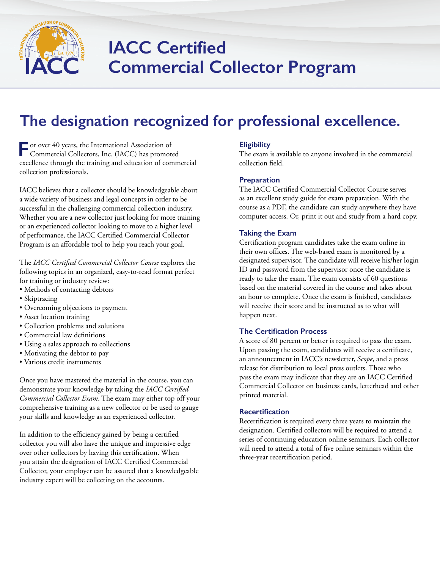

# **IACC Certified Commercial Collector Program**

## **The designation recognized for professional excellence.**

**For over 40 years, the International Association of**<br> **For our commercial Collection** Commercial Collectors, Inc. (IACC) has promoted excellence through the training and education of commercial collection professionals.

IACC believes that a collector should be knowledgeable about a wide variety of business and legal concepts in order to be successful in the challenging commercial collection industry. Whether you are a new collector just looking for more training or an experienced collector looking to move to a higher level of performance, the IACC Certified Commercial Collector Program is an affordable tool to help you reach your goal.

The *IACC Certified Commercial Collector Course* explores the following topics in an organized, easy-to-read format perfect for training or industry review:

- Methods of contacting debtors
- Skiptracing
- Overcoming objections to payment
- Asset location training
- Collection problems and solutions
- Commercial law definitions
- Using a sales approach to collections
- Motivating the debtor to pay
- Various credit instruments

Once you have mastered the material in the course, you can demonstrate your knowledge by taking the *IACC Certified Commercial Collector Exam*. The exam may either top off your comprehensive training as a new collector or be used to gauge your skills and knowledge as an experienced collector.

In addition to the efficiency gained by being a certified collector you will also have the unique and impressive edge over other collectors by having this certification. When you attain the designation of IACC Certified Commercial Collector, your employer can be assured that a knowledgeable industry expert will be collecting on the accounts.

#### **Eligibility**

The exam is available to anyone involved in the commercial collection field.

#### **Preparation**

The IACC Certified Commercial Collector Course serves as an excellent study guide for exam preparation. With the course as a PDF, the candidate can study anywhere they have computer access. Or, print it out and study from a hard copy.

#### **Taking the Exam**

Certification program candidates take the exam online in their own offices. The web-based exam is monitored by a designated supervisor. The candidate will receive his/her login ID and password from the supervisor once the candidate is ready to take the exam. The exam consists of 60 questions based on the material covered in the course and takes about an hour to complete. Once the exam is finished, candidates will receive their score and be instructed as to what will happen next.

#### **The Certification Process**

A score of 80 percent or better is required to pass the exam. Upon passing the exam, candidates will receive a certificate, an announcement in IACC's newsletter, *Scope*, and a press release for distribution to local press outlets. Those who pass the exam may indicate that they are an IACC Certified Commercial Collector on business cards, letterhead and other printed material.

#### **Recertification**

Recertification is required every three years to maintain the designation. Certified collectors will be required to attend a series of continuing education online seminars. Each collector will need to attend a total of five online seminars within the three-year recertification period.